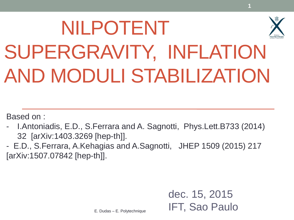# NILPOTENT SUPERGRAVITY, INFLATION AND MODULI STABILIZATION

Based on :

- I.Antoniadis, E.D., S.Ferrara and A. Sagnotti, Phys.Lett.B733 (2014) 32 [arXiv:1403.3269 [hep-th]].
- E.D., S.Ferrara, A.Kehagias and A.Sagnotti, JHEP 1509 (2015) 217 [arXiv:1507.07842 [hep-th]].

dec. 15, 2015 IFT, Sao Paulo **1**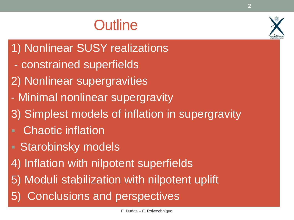#### **Outline**

- 1) Nonlinear SUSY realizations
- constrained superfields
- 2) Nonlinear supergravities
- Minimal nonlinear supergravity
- 3) Simplest models of inflation in supergravity
- Chaotic inflation
- **Starobinsky models**
- 4) Inflation with nilpotent superfields
- 5) Moduli stabilization with nilpotent uplift
- 5) Conclusions and perspectives

**2**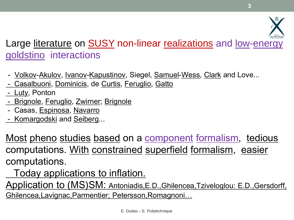#### Large literature on **SUSY** non-linear realizations and low-energy goldstino interactions

- <u>Volkov-Akulov, Ivanov-Kapustinov,</u> Siegel, <u>Samuel-Wess, Clark</u> and Love...
- Casalbuoni, Dominicis, de Curtis, Feruglio, Gatto
- Luty, Ponton
- Brignole, Feruglio, Zwirner; Brignole
- Casas, Espinosa, Navarro
- Komargodski and Seiberg...

Most pheno studies based on a component formalism, tedious computations. With constrained superfield formalism, easier computations.

Today applications to inflation.

Application to (MS)SM: Antoniadis,E.D.,Ghilencea,Tziveloglou: E.D.,Gersdorff, Ghilencea,Lavignac,Parmentier; Petersson,Romagnoni…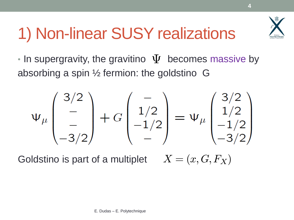

### 1) Non-linear SUSY realizations

 $\cdot$  In supergravity, the gravitino  $\Psi$  becomes massive by absorbing a spin ½ fermion: the goldstino G

$$
\Psi_{\mu} \begin{pmatrix} 3/2 \\ - \\ -3/2 \end{pmatrix} + G \begin{pmatrix} - \\ 1/2 \\ -1/2 \\ - \end{pmatrix} = \Psi_{\mu} \begin{pmatrix} 3/2 \\ 1/2 \\ -1/2 \\ -3/2 \end{pmatrix}
$$

Goldstino is part of a multiplet  $X = (x, G, F_X)$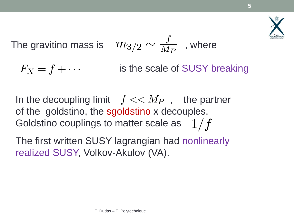

The gravitino mass is 
$$
m_{3/2} \sim \frac{f}{M_P}
$$
, where

 is the scale of SUSY breaking  $F_X = f + \cdots$ 

In the decoupling limit  $f << M_P$ , the partner of the goldstino, the sgoldstino x decouples. Goldstino couplings to matter scale as  $-1/f$ 

The first written SUSY lagrangian had nonlinearly realized SUSY, Volkov-Akulov (VA).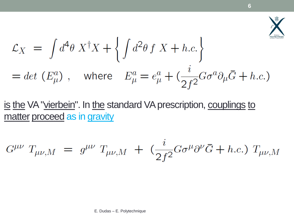

$$
\mathcal{L}_X = \int d^4 \theta \, X^{\dagger} X + \left\{ \int d^2 \theta \, f \, X + h.c. \right\}
$$
  
= det  $(E^a_\mu)$ , where  $E^a_\mu = e^a_\mu + (\frac{i}{2f^2} G \sigma^a \partial_\mu \overline{G} + h.c.)$ 

is the VA "vierbein". In the standard VA prescription, couplings to matter proceed as in gravity

$$
G^{\mu\nu} T_{\mu\nu,M} = g^{\mu\nu} T_{\mu\nu,M} + (\frac{i}{2f^2} G \sigma^{\mu} \partial^{\nu} \bar{G} + h.c.) T_{\mu\nu,M}
$$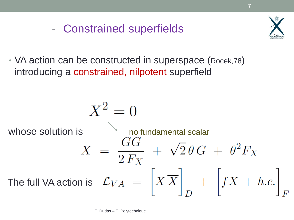- Constrained superfields



• VA action can be constructed in superspace (Rocek,78) introducing a constrained, nilpotent superfield

$$
X^{2} = 0
$$
  
whose solution is  

$$
X = \frac{GG}{2F_{X}} + \sqrt{2} \theta G + \theta^{2} F_{X}
$$
  
The full VA action is  $\mathcal{L}_{VA} = \left[ X X \right]_{D} + \left[ fX + h.c. \right]_{F}$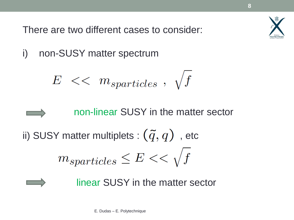

There are two different cases to consider:

i) non-SUSY matter spectrum

$$
E\ <<\ m_{sparticles}\ ,\ \sqrt{f}
$$

 non-linear SUSY in the matter sector ii) SUSY matter multiplets :  $(\tilde{q}, q)$ , etc  $m_{sparticles} \leq E \lt \sqrt{f}$ 

linear SUSY in the matter sector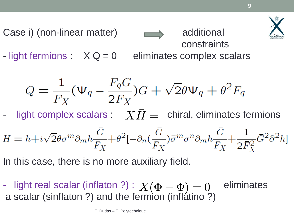

 constraints - light fermions :  $X Q = 0$  eliminates complex scalars

Case i) (non-linear matter) and additional

$$
Q = \frac{1}{F_X}(\Psi_q - \frac{F_q G}{2F_X})G + \sqrt{2}\theta \Psi_q + \theta^2 F_q
$$

- light complex scalars :  $\;\; XH = \;$  chiral, eliminates fermions

\n- light complex scalars: 
$$
X\bar{H} = \text{chiral, eliminates fermions}
$$
\n- $H = h + i\sqrt{2}\theta\sigma^m\partial_m h \frac{\bar{G}}{\bar{F}_X} + \theta^2[-\partial_n(\frac{\bar{G}}{\bar{F}_X})\bar{\sigma}^m\sigma^n\partial_m h \frac{\bar{G}}{\bar{F}_X} + \frac{1}{2\bar{F}_X^2}\bar{G}^2\partial^2 h]$
\n- In this case, there is no more auxiliary field.
\n- light real scalar (inflation?):  $X(\Phi - \bar{\Phi}) = 0$  eliminates a scalar (sinflaton?) and the fermion (inflation?)
\n

In this case, there is no more auxiliary field.

- light real scalar (inflaton ?) :  $X(\Phi - \bar{\Phi}) = 0$  eliminates  $X(\Phi - \bar{\Phi}) = 0$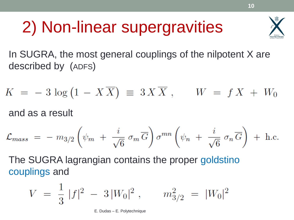### 2) Non-linear supergravities



In SUGRA, the most general couplings of the nilpotent X are described by (ADFS)

$$
K = -3 \log (1 - X\overline{X}) \equiv 3 X\overline{X} , \qquad W = f X + W_0
$$

and as a result

$$
\mathcal{L}_{mass} = - m_{3/2} \left( \psi_m + \frac{i}{\sqrt{6}} \sigma_m \overline{G} \right) \sigma^{mn} \left( \psi_n + \frac{i}{\sqrt{6}} \sigma_n \overline{G} \right) + \text{h.c.}
$$

The SUGRA lagrangian contains the proper goldstino couplings and

$$
V = \frac{1}{3} |f|^2 - 3|W_0|^2 , \qquad m_{3/2}^2 = |W_0|^2
$$

E. Dudas – E. Polytechnique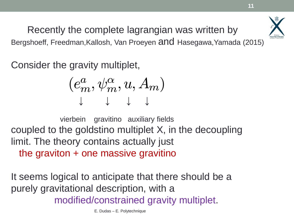Recently the complete lagrangian was written by Bergshoeff, Freedman,Kallosh, Van Proeyen and Hasegawa,Yamada (2015)

Consider the gravity multiplet,

$$
(e_m^a,\psi_m^\alpha,u,A_m)\\ \downarrow \quad \downarrow \quad \downarrow
$$

 vierbein gravitino auxiliary fields coupled to the goldstino multiplet X, in the decoupling limit. The theory contains actually just the graviton + one massive gravitino  $(e_m^a,\psi_m^\alpha,u,A_m)$ <br>  $\downarrow \quad \downarrow \quad \downarrow$ <br>
vierbein gravitino auxiliary fields<br>
coupled to the goldstino multiplet X, in the decoure in the theory contains actually just<br>
the graviton + one massive gravitino<br>
t seems logical to an

It seems logical to anticipate that there should be a purely gravitational description, with a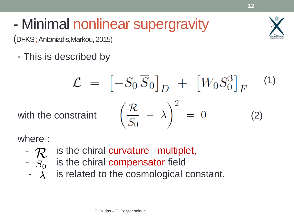### - Minimal nonlinear supergravity

(DFKS; Antoniadis,Markou, 2015)

• This is described by

$$
\mathcal{L} = \left[ -S_0 \overline{S}_0 \right]_D + \left[ W_0 S_0^3 \right]_F \tag{1}
$$
  
with the constraint 
$$
\left( \frac{\mathcal{R}}{S_0} - \lambda \right)^2 = 0 \tag{2}
$$

where :

- $\mathcal{R}$  is the chiral curvature multiplet,
- $-S<sub>0</sub>$  is the chiral compensator field  $\mathcal{L}_{S_0}$  is the chiral compens<br>  $\lambda$  is related to the cosm<br>
E. Dudas – E. Polytechnique  $S_0$ 
	- is related to the cosmological constant.  $\overline{\phantom{a}}$   $\lambda$

**12**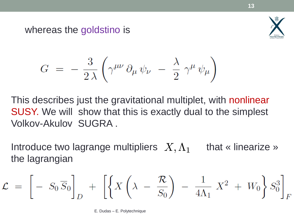whereas the goldstino is



$$
G\ =\ -\ \frac{3}{2\,\lambda}\left(\gamma^{\mu\nu}\,\partial_{\mu}\,\psi_{\nu}\ -\ \frac{\lambda}{2}\,\gamma^{\mu}\,\psi_{\mu}\right)
$$

This describes just the gravitational multiplet, with nonlinear SUSY. We will show that this is exactly dual to the simplest Volkov-Akulov SUGRA .

Introduce two lagrange multipliers  $X, \Lambda_{1}$  that « linearize » the lagrangian

$$
\mathcal{L} = \left[ -S_0 \overline{S}_0 \right]_D + \left[ \left\{ X \left( \lambda - \frac{\mathcal{R}}{S_0} \right) - \frac{1}{4\Lambda_1} X^2 + W_0 \right\} S_0^3 \right]_F
$$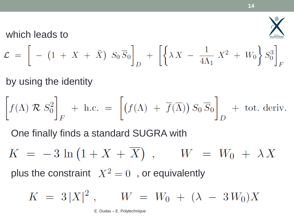

which leads to

$$
\mathcal{L} = \left[ \ - \ (1 \ + \ X \ + \ \bar{X}) \ S_0 \ \overline{S}_0 \right]_D \ + \ \left[ \left\{ \lambda \ X \ - \ \frac{1}{4\Lambda_1} \ X^2 \ + \ W_0 \right\} S_0^3 \right]_F
$$

by using the identity

$$
\left[f(\Lambda) \mathcal{R} S_0^2\right]_F + \text{ h.c.} = \left[\left(f(\Lambda) + \overline{f}(\overline{\Lambda})\right) S_0 \overline{S}_0\right]_D + \text{tot. deriv.}
$$

One finally finds a standard SUGRA with

 $K = -3 \ln (1 + X + \overline{X})$ ,  $W = W_0 + \lambda X$ plus the constraint  $X^2 = 0$ , or equivalently

$$
K = 3 |X|^2 , \qquad W = W_0 + (\lambda - 3 W_0) X
$$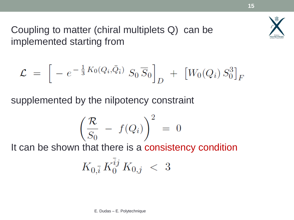

Coupling to matter (chiral multiplets Q) can be implemented starting from

$$
\mathcal{L} = \left[ -e^{-\frac{1}{3}K_0(Q_i,\bar{Q}_{\bar{i}})} S_0 \overline{S}_0 \right]_D + \left[ W_0(Q_i) S_0^3 \right]_F
$$

supplemented by the nilpotency constraint

$$
\left(\frac{\mathcal{R}}{S_0} - f(Q_i)\right)^2 = 0
$$

It can be shown that there is a consistency condition

$$
K_{0,\bar{i}} \, K^{\bar{i}j}_0 \, K_{0,j} \ < \ 3
$$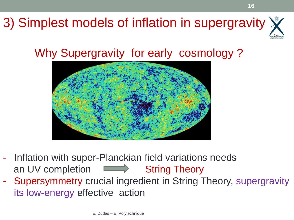

#### Why Supergravity for early cosmology ?



- Inflation with super-Planckian field variations needs an UV completion **String Theory**
- Supersymmetry crucial ingredient in String Theory, supergravity its low-energy effective action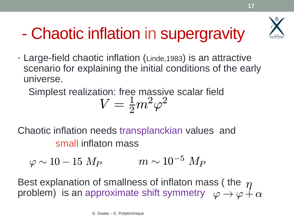## - Chaotic inflation in supergravity

• Large-field chaotic inflation (Linde,1983) is an attractive scenario for explaining the initial conditions of the early universe.

Simplest realization: free massive scalar field

$$
V=\tfrac{1}{2}m^2\varphi^2
$$

Chaotic inflation needs transplanckian values and small inflaton mass

$$
\varphi \sim 10-15\; M_P \qquad \qquad m \sim 10^{-5}\; M_P
$$

Best explanation of smallness of inflaton mass ( the  $\eta$ problem) is an approximate shift symmetry  $\;\;\varphi\to\varphi\,\,{\not\hskip-1.2pt\hbox{--}\hspace{1.2pt}}_{\vartriangleleft}$  e. Dudas – E. Polytechnique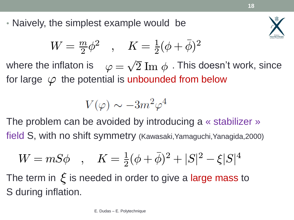• Naively, the simplest example would be



$$
W = \tfrac{m}{2}\phi^2 \quad , \quad K = \tfrac{1}{2}(\phi + \bar{\phi})^2
$$

where the inflaton is  $\quad \varphi = \sqrt{2} \; \mathrm{Im} \; \phi \;$  . This doesn't work, since for large  $\,\varphi\,$  the potential is unbounded from below  $\sqrt{ }$  $\overline{2} \text{ Im } \phi$ 

$$
V(\varphi)\sim -3m^2\varphi^4
$$

The problem can be avoided by introducing a « stabilizer » field S, with no shift symmetry (Kawasaki,Yamaguchi,Yanagida,2000)

$$
W = mS\phi \quad , \quad K = \frac{1}{2}(\phi + \bar{\phi})^2 + |S|^2 - \xi|S|^4
$$

The term in  $\xi$  is needed in order to give a large mass to S during inflation.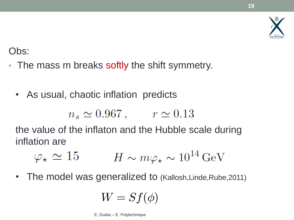#### Obs:

- The mass m breaks softly the shift symmetry.
	- As usual, chaotic inflation predicts

$$
n_s \simeq 0.967 \,, \qquad r \simeq 0.13
$$

the value of the inflaton and the Hubble scale during inflation are

$$
\varphi_{\star} \simeq 15 \qquad H \sim m \varphi_{\star} \sim 10^{14} \,\text{GeV}
$$

• The model was generalized to (Kallosh, Linde, Rube, 2011)

$$
W = Sf(\phi)
$$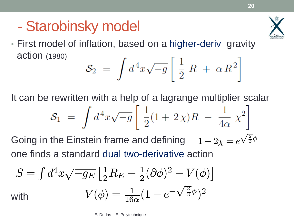#### - Starobinsky model



• First model of inflation, based on a higher-deriv gravity action (1980)

$$
\mathcal{S}_2 = \int d^4x \sqrt{-g} \left[ \frac{1}{2} R + \alpha R^2 \right]
$$

It can be rewritten with a help of a lagrange multiplier scalar

$$
\mathcal{S}_1 \ = \ \int d^4x \sqrt{-g} \left[ \ \frac{1}{2} (1 + 2 \chi) R \ - \ \frac{1}{4 \alpha} \ \chi^2 \right]
$$

Going in the Einstein frame and defining one finds a standard dual two-derivative action  $1+2\chi = e$  $\frac{2}{\sqrt{2}}$  $\frac{2}{3}\phi$ 

$$
S = \int d^4x \sqrt{-g_E} \left[\frac{1}{2}R_E - \frac{1}{2}(\partial \phi)^2 - V(\phi)\right]
$$
  
with 
$$
V(\phi) = \frac{1}{16\alpha}(1 - e^{-\sqrt{\frac{2}{3}}\phi})^2
$$

E. Dudas – E. Polytechnique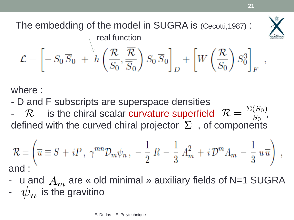

The embedding of the model in SUGRA is (Cecotti,1987) : real function<br> $\mathcal{L} = \left[ -S_0 \overline{S}_0 + h \left( \frac{\mathcal{R}}{S_0}, \frac{\overline{\mathcal{R}}}{\overline{S}_0} \right) S_0 \overline{S}_0 \right]_D + \left[ W \left( \frac{\mathcal{R}}{S_0} \right) S_0^3 \right]_F,$ 

where :

- D and F subscripts are superspace densities

-  $R$  is the chiral scalar curvature superfield  $R = \frac{\Sigma(S_0)}{S_0}$ , defined with the curved chiral projector  $\,\Sigma\,$  , of components  $\Sigma(\bar{S}_0)$  $\overline{S_0}$ 

$$
\mathcal{R} = \left(\overline{u} \equiv S + iP, \ \gamma^{mn} \mathcal{D}_m \psi_n, \ -\frac{1}{2} R - \frac{1}{3} A_m^2 + i \mathcal{D}^m A_m - \frac{1}{3} u \overline{u}\right) ,
$$
  
and :

- u and  $A_m$  are « old minimal » auxiliary fields of N=1 SUGRA -  $\;$  u and  $\;A_m$  are « old<br>-  $\;$   $\psi_n$  is the gravitino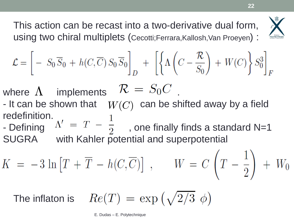



$$
\mathcal{L} = \left[ -S_0 \overline{S}_0 + h(C, \overline{C}) S_0 \overline{S}_0 \right]_D + \left[ \left\{ \Lambda \left( C - \frac{\mathcal{R}}{S_0} \right) + W(C) \right\} S_0^3 \right]_F
$$

where  $\Lambda$  implements  $\mathcal{R} = S_0 C$  .

- It can be shown that  $\quad$   $W(C)$  can be shifted away by a field redefinition.
- Defining  $\Delta V = T \frac{1}{2}$ , one finally finds a standard N=1 SUGRA with Kahler potential and superpotential

 $K = -3 \ln [T + \overline{T} - h(C, \overline{C})], \qquad W = C \left( T - \frac{1}{2} \right) + W_0$ 

The inflaton is  $Re(T) = exp(\sqrt{2/3} \phi)$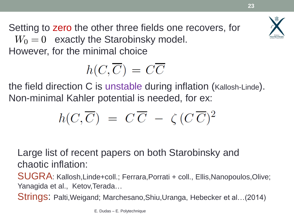

Setting to zero the other three fields one recovers, for  $W_0 = 0$  exactly the Starobinsky model. However, for the minimal choice

$$
h(C,\overline{C})\,=\,C\overline{C}
$$

the field direction C is unstable during inflation (Kallosh-Linde). Non-minimal Kahler potential is needed, for ex:

$$
h(C,\overline{C}) = C\,\overline{C} - \zeta (C\,\overline{C})^2
$$

Large list of recent papers on both Starobinsky and chaotic inflation:

SUGRA: Kallosh,Linde+coll.; Ferrara,Porrati + coll., Ellis,Nanopoulos,Olive; Yanagida et al., Ketov,Terada…

Strings: Palti,Weigand; Marchesano,Shiu,Uranga, Hebecker et al…(2014)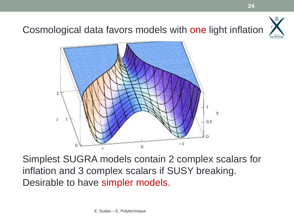

Cosmological data favors models with one light inflation



Simplest SUGRA models contain 2 complex scalars for inflation and 3 complex scalars if SUSY breaking. Desirable to have simpler models.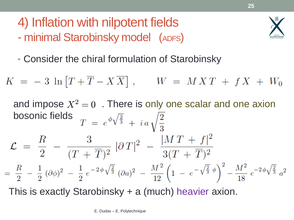- 4) Inflation with nilpotent fields
- minimal Starobinsky model (ADFS)



• Consider the chiral formulation of Starobinsky

$$
K = -3 \ln \left[ T + \overline{T} - X \overline{X} \right], \qquad W = MXT + fX + W_0
$$
  
and impose  $X^2 = 0$ . There is only one scalar and one axiom  
bosonic fields 
$$
T = e^{\phi \sqrt{\frac{2}{3}}} + i a \sqrt{\frac{2}{3}}
$$

$$
\mathcal{L} = \frac{R}{2} - \frac{3}{(T + \overline{T})^2} |\partial T|^2 - \frac{|MT + f|^2}{3(T + \overline{T})^2}
$$

$$
= \frac{R}{2} - \frac{1}{2} (\partial \phi)^2 - \frac{1}{2} e^{-2\phi \sqrt{\frac{2}{3}}} (\partial a)^2 - \frac{M^2}{12} \left( 1 - e^{-\sqrt{\frac{2}{3}} \phi} \right)^2 - \frac{M^2}{18} e^{-2\phi \sqrt{\frac{2}{3}}} a^2
$$

 $\overline{a}$ This is exactly Starobinsky + a (much) heavier axion.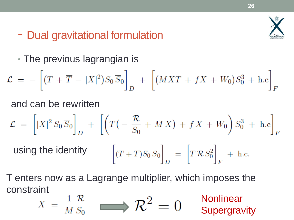

#### - Dual gravitational formulation

• The previous lagrangian is

$$
\mathcal{L} = -\left[ (T + \overline{T} - |X|^2) S_0 \overline{S}_0 \right]_D + \left[ (MXT + fX + W_0) S_0^3 + \text{h.c} \right]_F
$$

and can be rewritten

$$
\mathcal{L} = \left[ |X|^2 S_0 \overline{S}_0 \right]_D + \left[ \left( T \left( -\frac{\mathcal{R}}{S_0} + MX \right) + fX + W_0 \right) S_0^3 + \text{h.c} \right]_F
$$

using the identity 
$$
\left[ (T + \overline{T})S_0 \overline{S}_0 \right]_D = \left[ T \mathcal{R} S_0^2 \right]_F + \text{h.c.}
$$

T enters now as a Lagrange multiplier, which imposes the constraint linear

$$
X = \frac{1}{M} \frac{\mathcal{R}}{S_0} \longrightarrow \mathcal{R}^2 = 0
$$
 Nonlinear  
Supersivity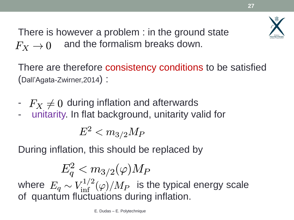

There is however a problem : in the ground state and the formalism breaks down.  $F_X \rightarrow 0$ 

There are therefore consistency conditions to be satisfied (Dall'Agata-Zwirner,2014) :

- $F_X \neq 0$  during inflation and afterwards
- unitarity. In flat background, unitarity valid for

$$
E^2 < m_{3/2} M_P \,
$$

During inflation, this should be replaced by

$$
E_q^2 < m_{3/2}(\varphi) M_P
$$
\nwhere  $E_q \sim V_{\text{inf}}^{1/2}(\varphi) / M_P$  is the typical energy scale of quantum fluctuations during inflation.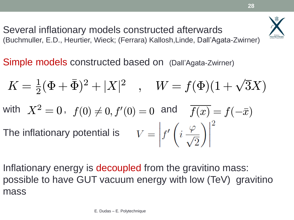Several inflationary models constructed afterwards (Buchmuller, E.D., Heurtier, Wieck; (Ferrara) Kallosh,Linde, Dall'Agata-Zwirner)

Simple models constructed based on (Dall'Agata-Zwirner)

$$
K = \frac{1}{2}(\Phi + \bar{\Phi})^2 + |X|^2 \quad , \quad W = f(\Phi)(1 + \sqrt{3}X)
$$
  
with  $X^2 = 0$ ,  $f(0) \neq 0$ ,  $f'(0) = 0$  and  $\overline{f(x)} = f(-\bar{x})$   
The inflationary potential is  $V = \left| f'\left(i \frac{\varphi}{\sqrt{2}}\right) \right|^2$ 

Inflationary energy is decoupled from the gravitino mass: possible to have GUT vacuum energy with low (TeV) gravitino mass

**28**

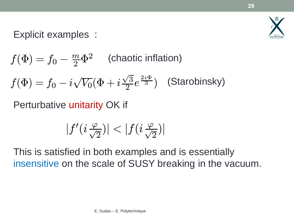

#### Explicit examples :

 $f(\Phi)=f_0 \overline{m}$  $\dot{C}(\Phi) = f_0 - \frac{m}{2} \Phi^2$  (chaotic inflation)  $f(\Phi) = f_0 - i$  $\sqrt{ }$  $V_0(\Phi+i$  $\sqrt{ }$ 3  $\sqrt{\frac{3}{2}}e^{\frac{2i\Phi}{3}}$  $f(\Phi)=f_0-i\sqrt{V_0}(\Phi+i\frac{\sqrt{3}}{2}e^{\frac{2i\Phi}{3}})$  (Starobinsky)

Perturbative unitarity OK if

$$
|f'(i\tfrac{\varphi}{\sqrt{2}})|<|f(i\tfrac{\varphi}{\sqrt{2}})|
$$

This is satisfied in both examples and is essentially insensitive on the scale of SUSY breaking in the vacuum.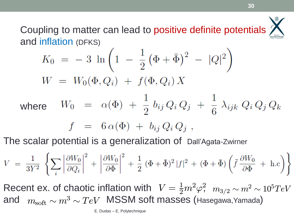Coupling to matter can lead to positive definite potentials and inflation (DFKS)

$$
K_0 = -3 \ln \left( 1 - \frac{1}{2} (\Phi + \bar{\Phi})^2 - |Q|^2 \right)
$$
  
\n
$$
W = W_0(\Phi, Q_i) + f(\Phi, Q_i) X
$$
  
\nwhere  $W_0 = \alpha(\Phi) + \frac{1}{2} b_{ij} Q_i Q_j + \frac{1}{6} \lambda_{ijk} Q_i Q_j Q_k$   
\n $f = 6 \alpha(\Phi) + b_{ij} Q_i Q_j$ ,

The scalar potential is a generalization of Dall'Agata-Zwirner

$$
V = \frac{1}{3Y^2} \left\{ \sum_i \left| \frac{\partial W_0}{\partial Q_i} \right|^2 + \left| \frac{\partial W_0}{\partial \Phi} \right|^2 + \frac{1}{2} (\Phi + \bar{\Phi})^2 |f|^2 + (\Phi + \bar{\Phi}) \left( \bar{f} \frac{\partial W_0}{\partial \Phi} + \text{h.c.} \right) \right\}
$$

Recent ex. of chaotic inflation with  $V = \frac{1}{2} m^2 \varphi^2$ ,  $m_{3/2} \sim m^2 \sim 10^5 TeV$ <br>and  $m_{\text{soft}} \sim m^3 \sim TeV$  MSSM soft masses (Hasegawa,Yamada)  $\frac{1}{2}m^2\varphi$ 2  $m_{\rm soft}\sim m^3\sim TeV$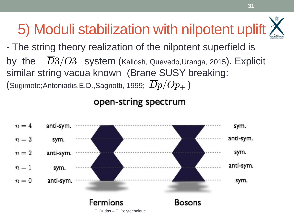### 5) Moduli stabilization with nilpotent uplift

**31**

- The string theory realization of the nilpotent superfield is by the  $\overline{D}3/O3$  system (Kallosh, Quevedo,Uranga, 2015). Explicit similar string vacua known (Brane SUSY breaking: (Sugimoto;Antoniadis,E.D.,Sagnotti, 1999;  $\overline{D}p/Op_+$ )

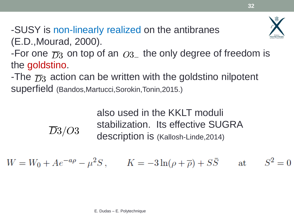

-SUSY is non-linearly realized on the antibranes (E.D.,Mourad, 2000).

 $\overline{D}3/O3$ 

-For one  $\overline{D}3$  on top of an  $O3$  the only degree of freedom is the goldstino.

-The  $\overline{D}3$  action can be written with the goldstino nilpotent superfield (Bandos,Martucci,Sorokin,Tonin,2015.)  $\begin{array}{ll} \overline{D}3 \end{array}$  on top of an  $O3_-$  timo.<br>
action can be written v<br>
d (Bandos,Martucci,Sorokin,To<br>
also used in<br>
stabilization<br>
description<br>  $Ae^{-a\rho}-\mu^2S\,,\qquad K=0$ <br>
E. Dudas – E. Polytechnique

also used in the KKLT moduli stabilization. Its effective SUGRA description is (Kallosh-Linde,2014)

$$
W = W_0 + Ae^{-a\rho} - \mu^2 S, \qquad K = -3\ln(\rho + \overline{\rho}) + S\overline{S} \qquad \text{at} \qquad S^2 = 0
$$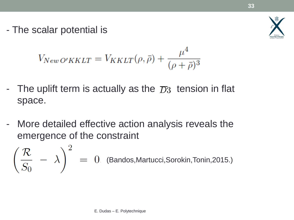- The scalar potential is



$$
V_{NewO'KKLT} = V_{KKLT}(\rho, \bar{\rho}) + \frac{\mu^4}{(\rho + \bar{\rho})^3}
$$

- The uplift term is actually as the  $\overline{D}3$  tension in flat space.
- More detailed effective action analysis reveals the emergence of the constraint

\n- The uplitt term is actually as the 
$$
\overline{D}3
$$
 tension in flat space.
\n- More detailed effective action analysis reveals the emergence of the constraint\n 
$$
\left(\frac{\mathcal{R}}{S_0} - \lambda\right)^2 = 0.
$$
\n (Bandos, Martucci, Sorokin, Tonin,2015.)\n *E. Dudas–E. Polytechnique*\n
\n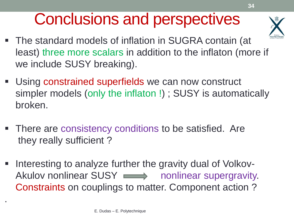### Conclusions and perspectives



**34**

- The standard models of inflation in SUGRA contain (at least) three more scalars in addition to the inflaton (more if we include SUSY breaking).
- $\overline{a}$ **Using constrained superfields we can now construct** simpler models (only the inflaton !) ; SUSY is automatically broken.
- There are consistency conditions to be satisfied. Are they really sufficient ?
- Interesting to analyze further the gravity dual of Volkov-Akulov nonlinear SUSY monlinear supergravity. Constraints on couplings to matter. Component action ?

.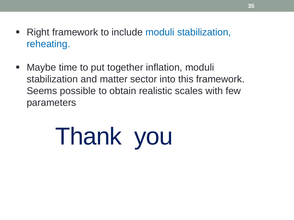- Right framework to include moduli stabilization, reheating.
- Maybe time to put together inflation, moduli stabilization and matter sector into this framework. Seems possible to obtain realistic scales with few parameters

# Thank you